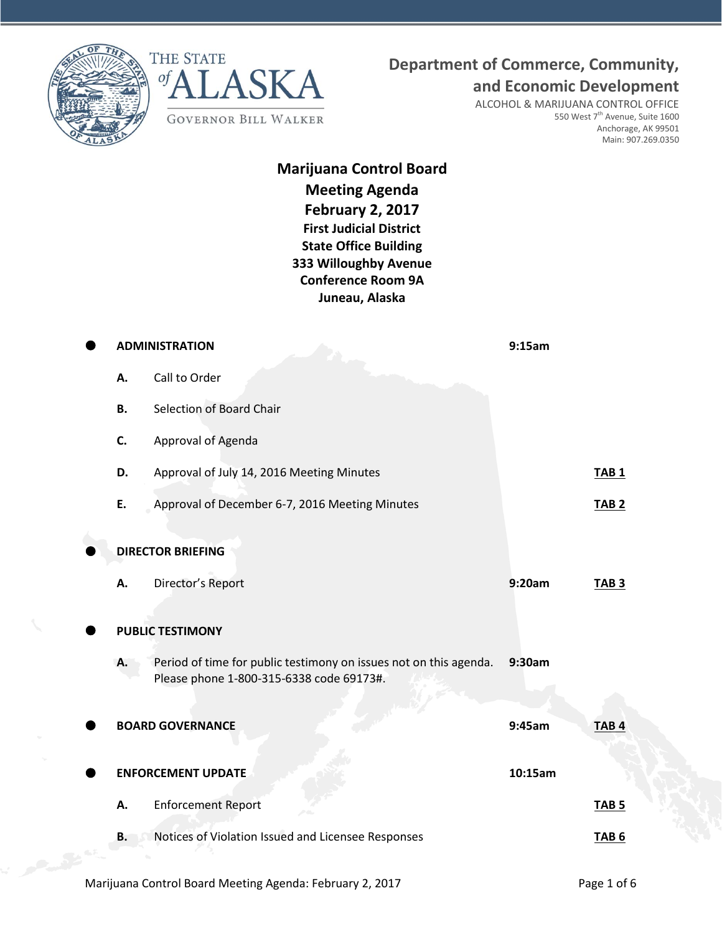



## **Department of Commerce, Community,**

**and Economic Development**

ALCOHOL & MARIJUANA CONTROL OFFICE 550 West  $7^{\text{th}}$  Avenue, Suite 1600 Anchorage, AK 99501 Main: 907.269.0350

## **Marijuana Control Board Meeting Agenda February 2, 2017 First Judicial District State Office Building 333 Willoughby Avenue Conference Room 9A Juneau, Alaska**

|           | <b>ADMINISTRATION</b>                                                                                         | 9:15am  |                  |
|-----------|---------------------------------------------------------------------------------------------------------------|---------|------------------|
| А.        | Call to Order                                                                                                 |         |                  |
| <b>B.</b> | Selection of Board Chair                                                                                      |         |                  |
| C.        | Approval of Agenda                                                                                            |         |                  |
| D.        | Approval of July 14, 2016 Meeting Minutes                                                                     |         | <b>TAB1</b>      |
| E.        | Approval of December 6-7, 2016 Meeting Minutes                                                                |         | <b>TAB 2</b>     |
|           | <b>DIRECTOR BRIEFING</b>                                                                                      |         |                  |
| А.        | Director's Report                                                                                             | 9:20am  | TAB <sub>3</sub> |
|           | <b>PUBLIC TESTIMONY</b>                                                                                       |         |                  |
| А.        | Period of time for public testimony on issues not on this agenda.<br>Please phone 1-800-315-6338 code 69173#. | 9:30am  |                  |
|           | <b>BOARD GOVERNANCE</b>                                                                                       | 9:45am  | TAB <sub>4</sub> |
|           | <b>ENFORCEMENT UPDATE</b>                                                                                     | 10:15am |                  |
| А.        | <b>Enforcement Report</b>                                                                                     |         | <b>TAB 5</b>     |
| В.        | Notices of Violation Issued and Licensee Responses                                                            |         | TAB <sub>6</sub> |
|           |                                                                                                               |         |                  |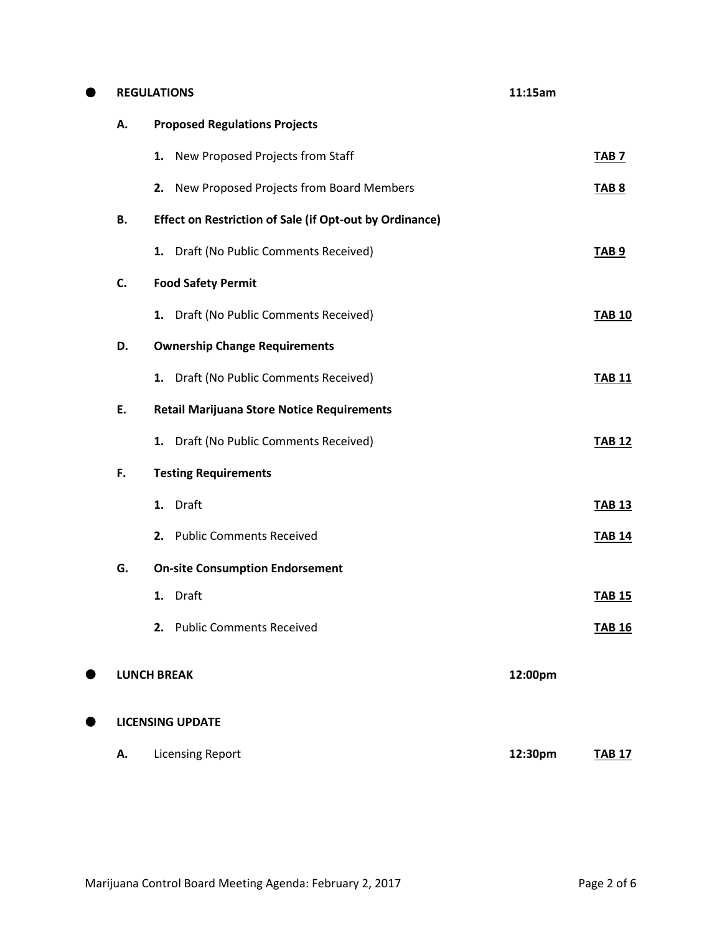| 0 |    | <b>REGULATIONS</b>                                             | 11:15am |               |  |  |
|---|----|----------------------------------------------------------------|---------|---------------|--|--|
|   | А. | <b>Proposed Regulations Projects</b>                           |         |               |  |  |
|   |    | New Proposed Projects from Staff<br>1.                         |         | <b>TAB 7</b>  |  |  |
|   |    | 2. New Proposed Projects from Board Members                    |         | <b>TAB 8</b>  |  |  |
|   | В. | <b>Effect on Restriction of Sale (if Opt-out by Ordinance)</b> |         |               |  |  |
|   |    | 1. Draft (No Public Comments Received)                         |         | <b>TAB 9</b>  |  |  |
|   | C. | <b>Food Safety Permit</b>                                      |         |               |  |  |
|   |    | 1. Draft (No Public Comments Received)                         |         | <b>TAB 10</b> |  |  |
|   | D. | <b>Ownership Change Requirements</b>                           |         |               |  |  |
|   |    | 1. Draft (No Public Comments Received)                         |         | <b>TAB 11</b> |  |  |
|   | E. | <b>Retail Marijuana Store Notice Requirements</b>              |         |               |  |  |
|   |    | 1. Draft (No Public Comments Received)                         |         | <b>TAB 12</b> |  |  |
|   | F. | <b>Testing Requirements</b>                                    |         |               |  |  |
|   |    | 1. Draft                                                       |         | <b>TAB 13</b> |  |  |
|   |    | 2. Public Comments Received                                    |         | <b>TAB 14</b> |  |  |
|   | G. | <b>On-site Consumption Endorsement</b>                         |         |               |  |  |
|   |    | 1. Draft                                                       |         | <b>TAB 15</b> |  |  |
|   |    | 2. Public Comments Received                                    |         | <b>TAB 16</b> |  |  |
|   |    | <b>LUNCH BREAK</b>                                             | 12:00pm |               |  |  |
|   |    | <b>LICENSING UPDATE</b>                                        |         |               |  |  |
|   | А. | <b>Licensing Report</b>                                        | 12:30pm | <b>TAB 17</b> |  |  |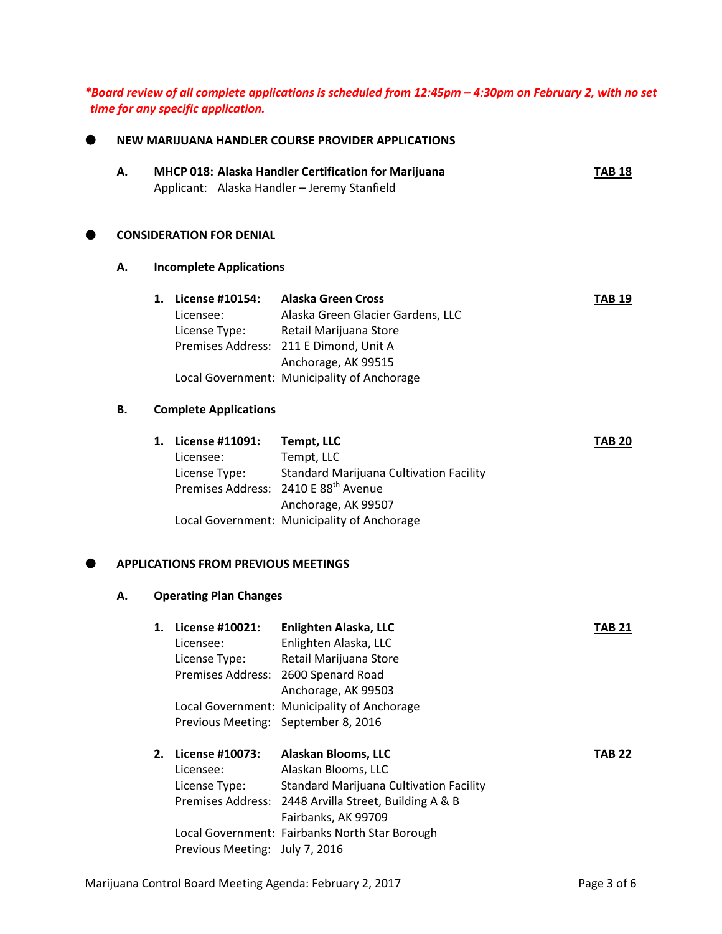*\*Board review of all complete applications is scheduled from 12:45pm – 4:30pm on February 2, with no set time for any specific application.*

| А. |    |                                                  | MHCP 018: Alaska Handler Certification for Marijuana<br>Applicant: Alaska Handler - Jeremy Stanfield                                                                                                     | <b>TAB 18</b> |
|----|----|--------------------------------------------------|----------------------------------------------------------------------------------------------------------------------------------------------------------------------------------------------------------|---------------|
|    |    | <b>CONSIDERATION FOR DENIAL</b>                  |                                                                                                                                                                                                          |               |
| А. |    | <b>Incomplete Applications</b>                   |                                                                                                                                                                                                          |               |
|    | 1. | License #10154:<br>Licensee:<br>License Type:    | <b>Alaska Green Cross</b><br>Alaska Green Glacier Gardens, LLC<br>Retail Marijuana Store<br>Premises Address: 211 E Dimond, Unit A<br>Anchorage, AK 99515<br>Local Government: Municipality of Anchorage | <b>TAB 19</b> |
| В. |    | <b>Complete Applications</b>                     |                                                                                                                                                                                                          |               |
|    | 1. | License #11091:<br>Licensee:<br>License Type:    | <b>Tempt, LLC</b><br>Tempt, LLC<br><b>Standard Marijuana Cultivation Facility</b><br>Premises Address: 2410 E 88 <sup>th</sup> Avenue<br>Anchorage, AK 99507                                             | <b>TAB 20</b> |
|    |    | <b>APPLICATIONS FROM PREVIOUS MEETINGS</b>       | Local Government: Municipality of Anchorage                                                                                                                                                              |               |
| А. |    | <b>Operating Plan Changes</b>                    |                                                                                                                                                                                                          |               |
|    |    | 1. License #10021:<br>Licensee:<br>License Type: | Enlighten Alaska, LLC<br>Enlighten Alaska, LLC<br>Retail Marijuana Store<br>Premises Address: 2600 Spenard Road<br>Anchorage, AK 99503<br>Local Government: Municipality of Anchorage                    | <b>TAB 21</b> |
|    |    | Previous Meeting: September 8, 2016              |                                                                                                                                                                                                          |               |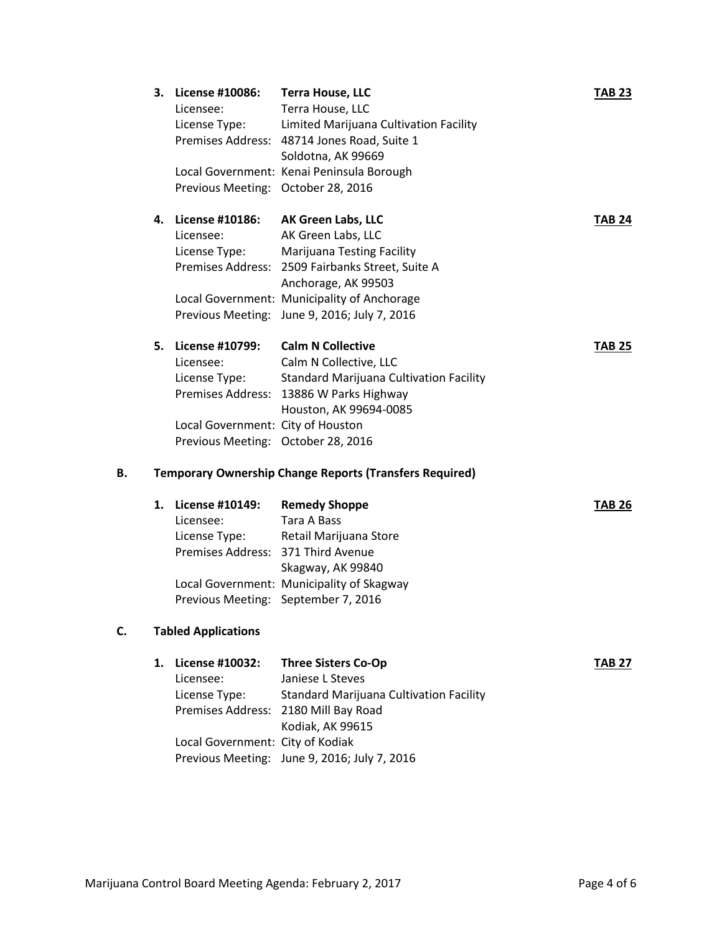|    | 3. | License #10086:<br>Licensee:<br>License Type:<br>Previous Meeting: October 28, 2016                                             | <b>Terra House, LLC</b><br>Terra House, LLC<br>Limited Marijuana Cultivation Facility<br>Premises Address: 48714 Jones Road, Suite 1<br>Soldotna, AK 99669<br>Local Government: Kenai Peninsula Borough                                                 | <b>TAB 23</b> |  |  |  |
|----|----|---------------------------------------------------------------------------------------------------------------------------------|---------------------------------------------------------------------------------------------------------------------------------------------------------------------------------------------------------------------------------------------------------|---------------|--|--|--|
|    | 4. | License #10186:<br>Licensee:<br>License Type:                                                                                   | AK Green Labs, LLC<br>AK Green Labs, LLC<br><b>Marijuana Testing Facility</b><br>Premises Address: 2509 Fairbanks Street, Suite A<br>Anchorage, AK 99503<br>Local Government: Municipality of Anchorage<br>Previous Meeting: June 9, 2016; July 7, 2016 | <b>TAB 24</b> |  |  |  |
|    | 5. | <b>License #10799:</b><br>Licensee:<br>License Type:<br>Local Government: City of Houston<br>Previous Meeting: October 28, 2016 | <b>Calm N Collective</b><br>Calm N Collective, LLC<br><b>Standard Marijuana Cultivation Facility</b><br>Premises Address: 13886 W Parks Highway<br>Houston, AK 99694-0085                                                                               | <b>TAB 25</b> |  |  |  |
| В. |    |                                                                                                                                 | <b>Temporary Ownership Change Reports (Transfers Required)</b>                                                                                                                                                                                          |               |  |  |  |
|    | 1. | <b>License #10149:</b><br>Licensee:<br>License Type:<br>Premises Address: 371 Third Avenue                                      | <b>Remedy Shoppe</b><br>Tara A Bass<br>Retail Marijuana Store<br>Skagway, AK 99840<br>Local Government: Municipality of Skagway<br>Previous Meeting: September 7, 2016                                                                                  | <b>TAB 26</b> |  |  |  |
| C. |    | <b>Tabled Applications</b>                                                                                                      |                                                                                                                                                                                                                                                         |               |  |  |  |
|    | 1. | License #10032:<br>Licensee:<br>License Type:<br>Local Government: City of Kodiak                                               | <b>Three Sisters Co-Op</b><br>Janiese L Steves<br><b>Standard Marijuana Cultivation Facility</b><br>Premises Address: 2180 Mill Bay Road<br>Kodiak, AK 99615<br>Previous Meeting: June 9, 2016; July 7, 2016                                            | <b>TAB 27</b> |  |  |  |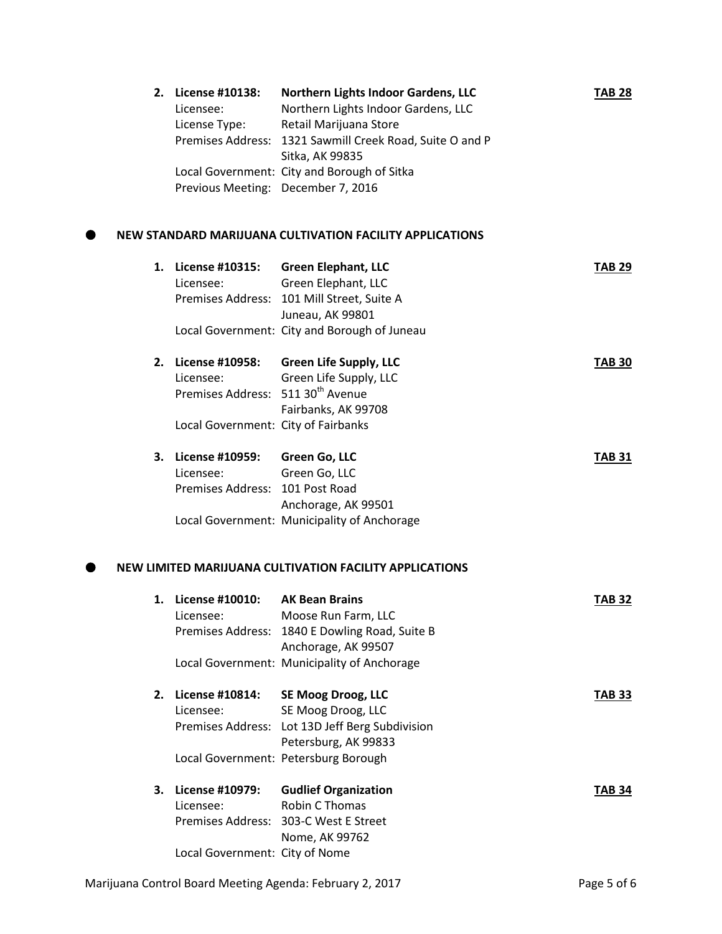| 2. | License #10138:<br>Licensee:                  | Northern Lights Indoor Gardens, LLC<br>Northern Lights Indoor Gardens, LLC  | <b>TAB 28</b> |
|----|-----------------------------------------------|-----------------------------------------------------------------------------|---------------|
|    | License Type:                                 | Retail Marijuana Store                                                      |               |
|    |                                               | Premises Address: 1321 Sawmill Creek Road, Suite O and P<br>Sitka, AK 99835 |               |
|    |                                               | Local Government: City and Borough of Sitka                                 |               |
|    | Previous Meeting: December 7, 2016            |                                                                             |               |
|    |                                               | NEW STANDARD MARIJUANA CULTIVATION FACILITY APPLICATIONS                    |               |
| 1. | License #10315:                               | <b>Green Elephant, LLC</b>                                                  | <b>TAB 29</b> |
|    | Licensee:                                     | Green Elephant, LLC                                                         |               |
|    |                                               | Premises Address: 101 Mill Street, Suite A                                  |               |
|    |                                               | Juneau, AK 99801                                                            |               |
|    |                                               | Local Government: City and Borough of Juneau                                |               |
| 2. | License #10958:                               | <b>Green Life Supply, LLC</b>                                               | <b>TAB 30</b> |
|    | Licensee:                                     | Green Life Supply, LLC                                                      |               |
|    | Premises Address: 511 30 <sup>th</sup> Avenue |                                                                             |               |
|    |                                               | Fairbanks, AK 99708                                                         |               |
|    | Local Government: City of Fairbanks           |                                                                             |               |
| 3. | License #10959:                               | Green Go, LLC                                                               | <b>TAB 31</b> |
|    | Licensee:                                     | Green Go, LLC                                                               |               |
|    | Premises Address: 101 Post Road               |                                                                             |               |
|    |                                               | Anchorage, AK 99501                                                         |               |
|    |                                               | Local Government: Municipality of Anchorage                                 |               |
|    |                                               | NEW LIMITED MARIJUANA CULTIVATION FACILITY APPLICATIONS                     |               |
|    | 1. License #10010:                            | <b>AK Bean Brains</b>                                                       | <b>TAB 32</b> |
|    | Licensee:                                     | Moose Run Farm, LLC                                                         |               |
|    | Premises Address:                             | 1840 E Dowling Road, Suite B                                                |               |
|    |                                               | Anchorage, AK 99507                                                         |               |
|    |                                               | Local Government: Municipality of Anchorage                                 |               |
| 2. | License #10814:                               | <b>SE Moog Droog, LLC</b>                                                   | <b>TAB 33</b> |
|    | Licensee:                                     | SE Moog Droog, LLC                                                          |               |
|    |                                               | Premises Address: Lot 13D Jeff Berg Subdivision                             |               |
|    |                                               | Petersburg, AK 99833                                                        |               |
|    |                                               | Local Government: Petersburg Borough                                        |               |
| 3. | License #10979:                               | <b>Gudlief Organization</b>                                                 | <b>TAB 34</b> |
|    | Licensee:                                     | Robin C Thomas                                                              |               |
|    |                                               | Premises Address: 303-C West E Street                                       |               |
|    |                                               |                                                                             |               |
|    | Local Government: City of Nome                | Nome, AK 99762                                                              |               |